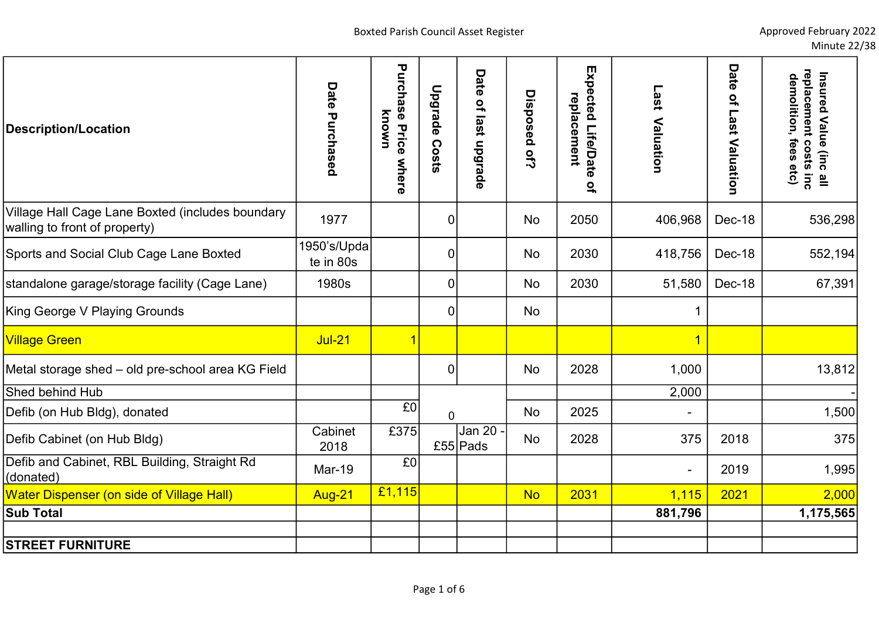| <b>Description/Location</b>                                                       | Date Purchased           | <b>Purchase Price</b><br>known<br>where | <b>Upgrade</b><br>Costs | Date<br>of last upgrade | Disposed of? | Expected Life/Date<br>replacement | Last<br>Valuation       | Date<br>of Last<br>Valuation | Insured Value (inc all<br>replacement costs inc<br>demolition, fees etc) |
|-----------------------------------------------------------------------------------|--------------------------|-----------------------------------------|-------------------------|-------------------------|--------------|-----------------------------------|-------------------------|------------------------------|--------------------------------------------------------------------------|
|                                                                                   |                          |                                         |                         |                         |              | $\overline{a}$                    |                         |                              |                                                                          |
| Village Hall Cage Lane Boxted (includes boundary<br>walling to front of property) | 1977                     |                                         | $\mathbf 0$             |                         | No           | 2050                              | 406,968                 | Dec-18                       | 536,298                                                                  |
| Sports and Social Club Cage Lane Boxted                                           | 1950's/Upda<br>te in 80s |                                         | 0                       |                         | No           | 2030                              | 418,756                 | Dec-18                       | 552,194                                                                  |
| standalone garage/storage facility (Cage Lane)                                    | 1980s                    |                                         | 0                       |                         | No           | 2030                              | 51,580                  | Dec-18                       | 67,391                                                                   |
| King George V Playing Grounds                                                     |                          |                                         | $\overline{0}$          |                         | No           |                                   | 1                       |                              |                                                                          |
| <b>Village Green</b>                                                              | <b>Jul-21</b>            | $\vert$ 1                               |                         |                         |              |                                   | $\overline{\mathbf{1}}$ |                              |                                                                          |
| Metal storage shed - old pre-school area KG Field                                 |                          |                                         | $\mathbf 0$             |                         | No           | 2028                              | 1,000                   |                              | 13,812                                                                   |
| <b>Shed behind Hub</b>                                                            |                          |                                         |                         |                         |              |                                   | 2,000                   |                              |                                                                          |
| Defib (on Hub Bldg), donated                                                      |                          | E <sub>0</sub>                          | $\overline{0}$          |                         | No           | 2025                              |                         |                              | 1,500                                                                    |
| Defib Cabinet (on Hub Bldg)                                                       | Cabinet<br>2018          | £375                                    |                         | Jan 20 -<br>£55 Pads    | No           | 2028                              | 375                     | 2018                         | 375                                                                      |
| Defib and Cabinet, RBL Building, Straight Rd<br>(donated)                         | Mar-19                   | E0                                      |                         |                         |              |                                   |                         | 2019                         | 1,995                                                                    |
| <b>Water Dispenser (on side of Village Hall)</b>                                  | <b>Aug-21</b>            | E1,115                                  |                         |                         | <b>No</b>    | 2031                              | 1,115                   | 2021                         | 2,000                                                                    |
| <b>Sub Total</b>                                                                  |                          |                                         |                         |                         |              |                                   | 881,796                 |                              | 1,175,565                                                                |
| <b>STREET FURNITURE</b>                                                           |                          |                                         |                         |                         |              |                                   |                         |                              |                                                                          |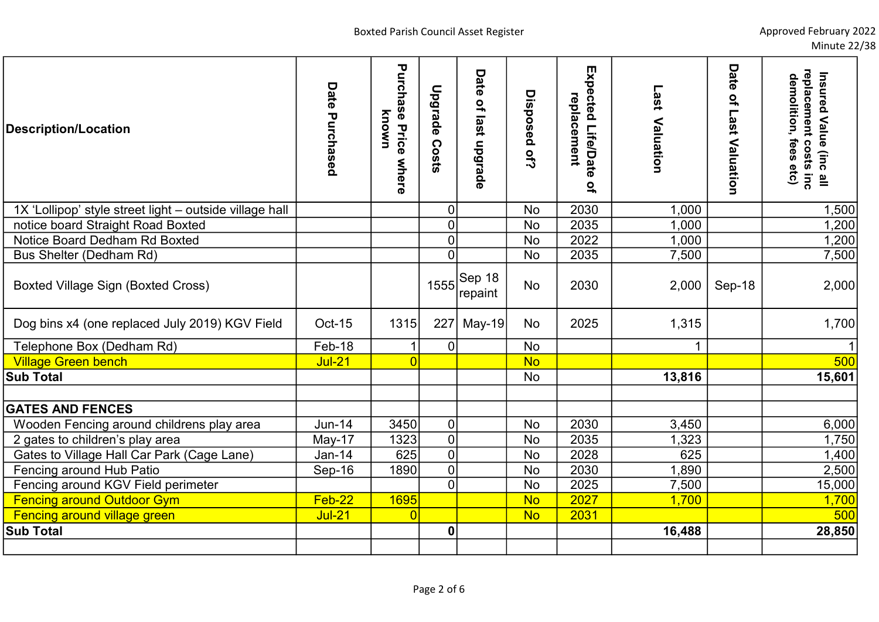| <b>Description/Location</b>                             | Date Purchased | Purchase<br>known<br>Price<br>where | Upgrade<br>Costs | Date of last upgrade | Disposed of? | Expected Life/Date<br>replacement<br>$\overline{a}$ | Last<br>Valuation | Date<br>$\mathbf{Q}_\mathbf{r}$<br>Last Valuation | replacement costs inc<br>Insured Value (inc all<br>denolition, fees etc) |
|---------------------------------------------------------|----------------|-------------------------------------|------------------|----------------------|--------------|-----------------------------------------------------|-------------------|---------------------------------------------------|--------------------------------------------------------------------------|
| 1X 'Lollipop' style street light - outside village hall |                |                                     | $\mathbf 0$      |                      | No           | 2030                                                | 1,000             |                                                   | 1,500                                                                    |
| notice board Straight Road Boxted                       |                |                                     | $\overline{0}$   |                      | <b>No</b>    | 2035                                                | 1,000             |                                                   | 1,200                                                                    |
| Notice Board Dedham Rd Boxted                           |                |                                     | $\overline{0}$   |                      | <b>No</b>    | 2022                                                | 1,000             |                                                   | 1,200                                                                    |
| Bus Shelter (Dedham Rd)                                 |                |                                     | $\overline{0}$   |                      | <b>No</b>    | 2035                                                | 7,500             |                                                   | 7,500                                                                    |
| <b>Boxted Village Sign (Boxted Cross)</b>               |                |                                     | 1555             | Sep 18<br>repaint    | <b>No</b>    | 2030                                                | 2,000             | Sep-18                                            | 2,000                                                                    |
| Dog bins x4 (one replaced July 2019) KGV Field          | <b>Oct-15</b>  | 1315                                | 227              | <b>May-19</b>        | No           | 2025                                                | 1,315             |                                                   | 1,700                                                                    |
| Telephone Box (Dedham Rd)                               | Feb-18         | $\mathbf{1}$                        | $\overline{0}$   |                      | <b>No</b>    |                                                     | $\mathbf 1$       |                                                   |                                                                          |
| <b>Village Green bench</b>                              | <b>Jul-21</b>  | 0                                   |                  |                      | <b>No</b>    |                                                     |                   |                                                   | 500                                                                      |
| <b>Sub Total</b>                                        |                |                                     |                  |                      | <b>No</b>    |                                                     | 13,816            |                                                   | 15,601                                                                   |
|                                                         |                |                                     |                  |                      |              |                                                     |                   |                                                   |                                                                          |
| <b>GATES AND FENCES</b>                                 |                |                                     |                  |                      |              |                                                     |                   |                                                   |                                                                          |
| Wooden Fencing around childrens play area               | <b>Jun-14</b>  | 3450                                | $\pmb{0}$        |                      | <b>No</b>    | 2030                                                | 3,450             |                                                   | 6,000                                                                    |
| 2 gates to children's play area                         | May-17         | 1323                                | $\mathbf 0$      |                      | <b>No</b>    | 2035                                                | 1,323             |                                                   | 1,750                                                                    |
| Gates to Village Hall Car Park (Cage Lane)              | $Jan-14$       | 625                                 | $\overline{0}$   |                      | <b>No</b>    | 2028                                                | 625               |                                                   | 1,400                                                                    |
| Fencing around Hub Patio                                | Sep-16         | 1890                                | $\pmb{0}$        |                      | <b>No</b>    | 2030                                                | 1,890             |                                                   | 2,500                                                                    |
| Fencing around KGV Field perimeter                      |                |                                     | $\overline{0}$   |                      | <b>No</b>    | 2025                                                | 7,500             |                                                   | 15,000                                                                   |
| <b>Fencing around Outdoor Gym</b>                       | $Feb-22$       | <b>1695</b>                         |                  |                      | <b>No</b>    | 2027                                                | 1,700             |                                                   | 1,700                                                                    |
| <b>Fencing around village green</b>                     | <b>Jul-21</b>  | 0                                   |                  |                      | <b>No</b>    | 2031                                                |                   |                                                   | 500                                                                      |
| <b>Sub Total</b>                                        |                |                                     | $\boldsymbol{0}$ |                      |              |                                                     | 16,488            |                                                   | 28,850                                                                   |
|                                                         |                |                                     |                  |                      |              |                                                     |                   |                                                   |                                                                          |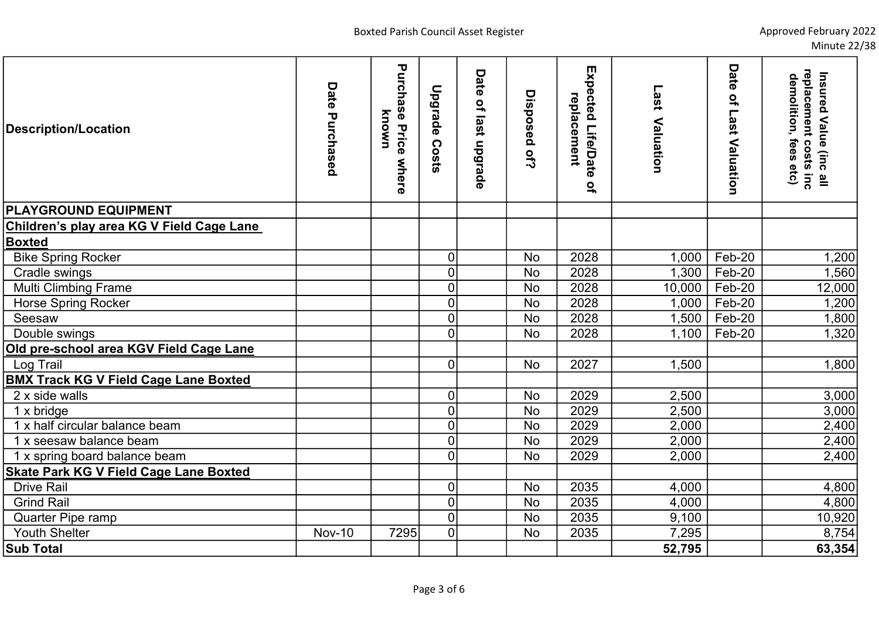| <b>Description/Location</b>                   | Date Purchased | Purchase<br>known<br><b>Price</b><br>where | <b>Upgrade Costs</b> | Date of last upgrade | Disposed of? | Expected Life/Date<br>replacement<br>$\mathbf{Q}_\mathrm{r}$ | Last<br>Valuation | Date<br>$\mathbf{Q}_\mathbf{r}$<br><b>Last</b><br>Valuation | Insured Value (inc all<br>replacement costs inc<br>denolition, fees etc) |
|-----------------------------------------------|----------------|--------------------------------------------|----------------------|----------------------|--------------|--------------------------------------------------------------|-------------------|-------------------------------------------------------------|--------------------------------------------------------------------------|
| <b>PLAYGROUND EQUIPMENT</b>                   |                |                                            |                      |                      |              |                                                              |                   |                                                             |                                                                          |
| Children's play area KG V Field Cage Lane     |                |                                            |                      |                      |              |                                                              |                   |                                                             |                                                                          |
| <b>Boxted</b>                                 |                |                                            |                      |                      |              |                                                              |                   |                                                             |                                                                          |
| <b>Bike Spring Rocker</b>                     |                |                                            | $\overline{0}$       |                      | <b>No</b>    | 2028                                                         | 1,000             | Feb-20                                                      | 1,200                                                                    |
| Cradle swings                                 |                |                                            | $\overline{0}$       |                      | <b>No</b>    | 2028                                                         | 1,300             | Feb-20                                                      | 1,560                                                                    |
| Multi Climbing Frame                          |                |                                            | $\overline{0}$       |                      | <b>No</b>    | 2028                                                         | 10,000            | Feb-20                                                      | 12,000                                                                   |
| <b>Horse Spring Rocker</b>                    |                |                                            | $\overline{0}$       |                      | <b>No</b>    | 2028                                                         | 1,000             | $Feb-20$                                                    | 1,200                                                                    |
| Seesaw                                        |                |                                            | $\overline{0}$       |                      | <b>No</b>    | 2028                                                         | 1,500             | Feb-20                                                      | ,800                                                                     |
| Double swings                                 |                |                                            | $\overline{0}$       |                      | <b>No</b>    | 2028                                                         | 1,100             | Feb-20                                                      | 1,320                                                                    |
| Old pre-school area KGV Field Cage Lane       |                |                                            |                      |                      |              |                                                              |                   |                                                             |                                                                          |
| Log Trail                                     |                |                                            | $\overline{0}$       |                      | <b>No</b>    | 2027                                                         | 1,500             |                                                             | 1,800                                                                    |
| <b>BMX Track KG V Field Cage Lane Boxted</b>  |                |                                            |                      |                      |              |                                                              |                   |                                                             |                                                                          |
| 2 x side walls                                |                |                                            | $\overline{0}$       |                      | <b>No</b>    | 2029                                                         | 2,500             |                                                             | 3,000                                                                    |
| 1 x bridge                                    |                |                                            | $\overline{0}$       |                      | <b>No</b>    | 2029                                                         | 2,500             |                                                             | 3,000                                                                    |
| 1 x half circular balance beam                |                |                                            | $\overline{0}$       |                      | <b>No</b>    | 2029                                                         | 2,000             |                                                             | 2,400                                                                    |
| 1 x seesaw balance beam                       |                |                                            | $\overline{0}$       |                      | <b>No</b>    | 2029                                                         | 2,000             |                                                             | 2,400                                                                    |
| 1 x spring board balance beam                 |                |                                            | $\overline{0}$       |                      | <b>No</b>    | 2029                                                         | 2,000             |                                                             | 2,400                                                                    |
| <b>Skate Park KG V Field Cage Lane Boxted</b> |                |                                            |                      |                      |              |                                                              |                   |                                                             |                                                                          |
| <b>Drive Rail</b>                             |                |                                            | $\overline{0}$       |                      | <b>No</b>    | 2035                                                         | 4,000             |                                                             | 4,800                                                                    |
| <b>Grind Rail</b>                             |                |                                            | $\overline{0}$       |                      | <b>No</b>    | 2035                                                         | 4,000             |                                                             | 4,800                                                                    |
| Quarter Pipe ramp                             |                |                                            | $\overline{0}$       |                      | <b>No</b>    | 2035                                                         | 9,100             |                                                             | 10,920                                                                   |
| <b>Youth Shelter</b>                          | <b>Nov-10</b>  | 7295                                       | $\overline{0}$       |                      | <b>No</b>    | 2035                                                         | 7,295             |                                                             | 8,754                                                                    |
| <b>Sub Total</b>                              |                |                                            |                      |                      |              |                                                              | 52,795            |                                                             | 63,354                                                                   |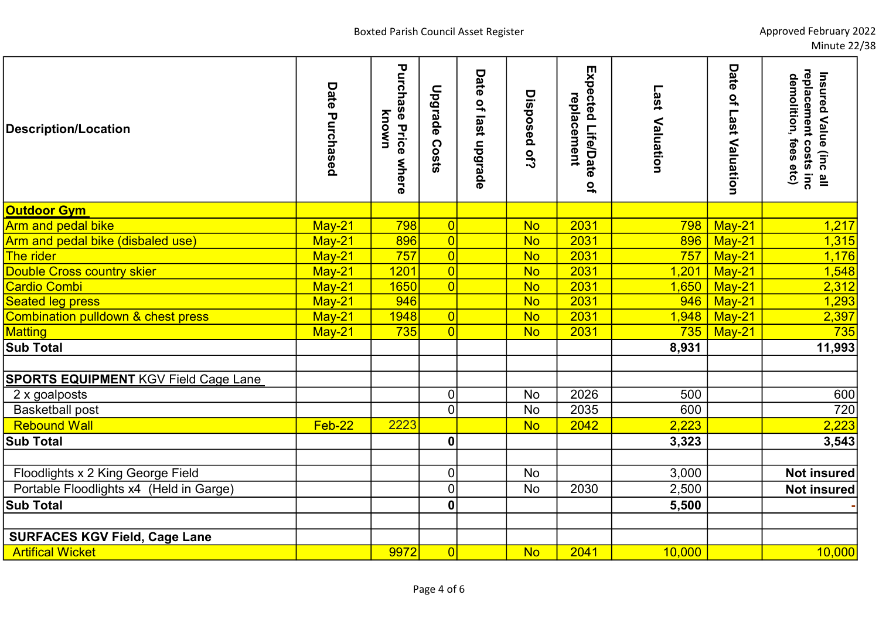| <b>Description/Location</b>                   | Date Purchased | Purchase<br>known<br>Price<br>where | <b>Upgrade</b><br><b>Costs</b> | Date of last upgrade | Disposed of?           | Expected Life/Date<br>replacement<br>$\overline{a}$ | Last<br>Valuation | Date<br>$\mathbf{Q}_\mathrm{r}$<br>Last Valuation | Insured Value (inc all<br>replacement costs inc<br>demolition, fees<br>etc) |
|-----------------------------------------------|----------------|-------------------------------------|--------------------------------|----------------------|------------------------|-----------------------------------------------------|-------------------|---------------------------------------------------|-----------------------------------------------------------------------------|
| <b>Outdoor Gym</b>                            |                |                                     |                                |                      |                        |                                                     |                   |                                                   |                                                                             |
| Arm and pedal bike                            | $May-21$       | 798                                 | $\overline{0}$                 |                      | <b>No</b>              | 2031                                                | 798               | May-21                                            | 1,217                                                                       |
| Arm and pedal bike (disbaled use)             | May-21         | 896                                 | $\overline{0}$                 |                      | $\overline{\text{No}}$ | 2031                                                | 896               | May-21                                            | 1,315                                                                       |
| The rider                                     | $May-21$       | 757                                 | $\overline{0}$                 |                      | $\overline{\text{No}}$ | 2031                                                | 757               | May-21                                            | 1,176                                                                       |
| <b>Double Cross country skier</b>             | $May-21$       | 1201                                | $\overline{0}$                 |                      | <b>No</b>              | 2031                                                | 1,201             | $May-21$                                          | 1,548                                                                       |
| <b>Cardio Combi</b>                           | $May-21$       | 1650                                | $\overline{0}$                 |                      | <b>No</b>              | 2031                                                | 1,650             | May-21                                            | 2,312                                                                       |
| <b>Seated leg press</b>                       | May-21         | 946                                 |                                |                      | <b>No</b>              | 2031                                                | 946               | May-21                                            | 1,293                                                                       |
| <b>Combination pulldown &amp; chest press</b> | May-21         | 1948                                | $\overline{0}$                 |                      | <b>No</b>              | 2031                                                | 1,948             | May-21                                            | 2,397                                                                       |
| <b>Matting</b>                                | $May-21$       | 735                                 | $\overline{0}$                 |                      | <b>No</b>              | 2031                                                | 735               | May-21                                            | 735                                                                         |
| <b>Sub Total</b>                              |                |                                     |                                |                      |                        |                                                     | 8,931             |                                                   | 11,993                                                                      |
|                                               |                |                                     |                                |                      |                        |                                                     |                   |                                                   |                                                                             |
| <b>SPORTS EQUIPMENT KGV Field Cage Lane</b>   |                |                                     |                                |                      |                        |                                                     |                   |                                                   |                                                                             |
| 2 x goalposts                                 |                |                                     | $\mathbf 0$                    |                      | <b>No</b>              | 2026                                                | 500               |                                                   | 600                                                                         |
| <b>Basketball post</b>                        |                |                                     | $\overline{0}$                 |                      | <b>No</b>              | 2035                                                | 600               |                                                   | 720                                                                         |
| <b>Rebound Wall</b>                           | Feb-22         | 2223                                |                                |                      | <b>No</b>              | 2042                                                | 2,223             |                                                   | 2,223                                                                       |
| <b>Sub Total</b>                              |                |                                     | $\boldsymbol{0}$               |                      |                        |                                                     | 3,323             |                                                   | 3,543                                                                       |
|                                               |                |                                     |                                |                      |                        |                                                     |                   |                                                   |                                                                             |
| Floodlights x 2 King George Field             |                |                                     | $\mathbf 0$                    |                      | <b>No</b>              |                                                     | 3,000             |                                                   | <b>Not insured</b>                                                          |
| Portable Floodlights x4 (Held in Garge)       |                |                                     | $\overline{0}$                 |                      | No                     | 2030                                                | 2,500             |                                                   | <b>Not insured</b>                                                          |
| <b>Sub Total</b>                              |                |                                     | $\boldsymbol{0}$               |                      |                        |                                                     | 5,500             |                                                   |                                                                             |
|                                               |                |                                     |                                |                      |                        |                                                     |                   |                                                   |                                                                             |
| <b>SURFACES KGV Field, Cage Lane</b>          |                |                                     |                                |                      |                        |                                                     |                   |                                                   |                                                                             |
| <b>Artifical Wicket</b>                       |                | 9972                                | 0                              |                      | <b>No</b>              | 2041                                                | 10,000            |                                                   | 10,000                                                                      |
|                                               |                |                                     |                                |                      |                        |                                                     |                   |                                                   |                                                                             |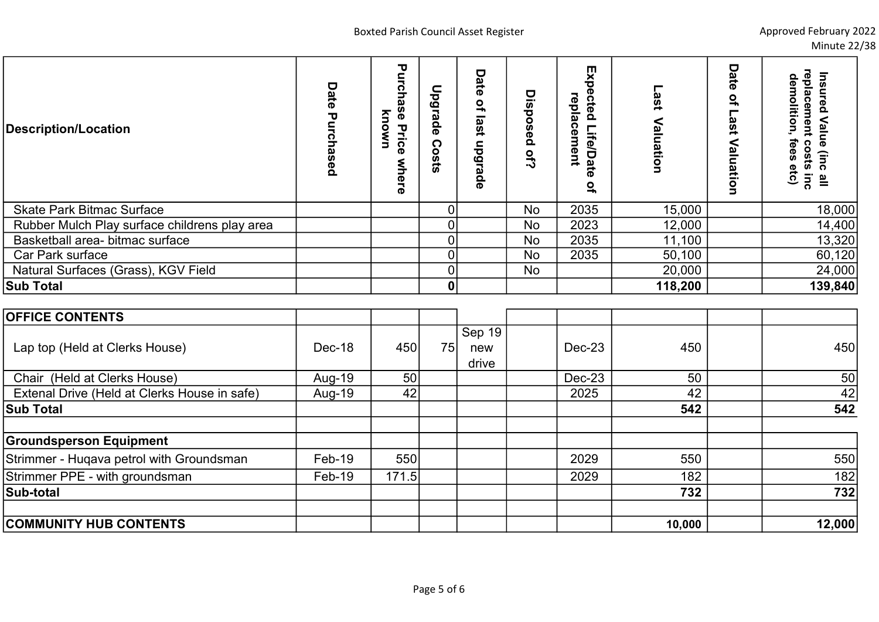| <b>Description/Location</b>                   | Date<br>ırchased | τ<br>unch<br>known<br>P<br>Price<br>where | Upgrade<br>Costs | Date<br>$\overline{a}$<br>last<br>nbarade | Disposed<br><b>Of?</b> | Exp<br>ected<br>replacement<br><b>Life/Date</b><br>$\mathbf{a}$ | ┍<br>iss.<br>Valuatio<br>3 | Date<br>$\mathbf{Q}_\mathbf{a}$<br>ast<br>⋖<br>aluation | Insured<br>celde<br>demolition<br>eme<br>Value<br>₹<br>fees<br>ິດ<br>$\circ$<br>(inc<br>sts<br>etc)<br>$\frac{1}{2}$ $\frac{1}{2}$ |
|-----------------------------------------------|------------------|-------------------------------------------|------------------|-------------------------------------------|------------------------|-----------------------------------------------------------------|----------------------------|---------------------------------------------------------|------------------------------------------------------------------------------------------------------------------------------------|
| <b>Skate Park Bitmac Surface</b>              |                  |                                           | $\overline{0}$   |                                           | <b>No</b>              | 2035                                                            | 15,000                     |                                                         | 18,000                                                                                                                             |
| Rubber Mulch Play surface childrens play area |                  |                                           | $\overline{0}$   |                                           | No                     | 2023                                                            | 12,000                     |                                                         | 14,400                                                                                                                             |
| Basketball area- bitmac surface               |                  |                                           | $\Omega$         |                                           | <b>No</b>              | 2035                                                            | 11,100                     |                                                         | 13,320                                                                                                                             |
| Car Park surface                              |                  |                                           | <sup>0</sup>     |                                           | <b>No</b>              | 2035                                                            | 50,100                     |                                                         | 60,120                                                                                                                             |
| Natural Surfaces (Grass), KGV Field           |                  |                                           |                  |                                           | <b>No</b>              |                                                                 | 20,000                     |                                                         | 24,000                                                                                                                             |
| <b>Sub Total</b>                              |                  |                                           | $\mathbf 0$      |                                           |                        |                                                                 | 118,200                    |                                                         | 139,840                                                                                                                            |

| <b>OFFICE CONTENTS</b>                       |          |       |    |                          |        |        |        |
|----------------------------------------------|----------|-------|----|--------------------------|--------|--------|--------|
| Lap top (Held at Clerks House)               | Dec-18   | 450   | 75 | Sep $19$<br>new<br>drive | Dec-23 | 450    | 450    |
| Chair (Held at Clerks House)                 | Aug-19   | 50    |    |                          | Dec-23 | 50     | 50     |
| Extenal Drive (Held at Clerks House in safe) | Aug-19   | 42    |    |                          | 2025   | 42     | 42     |
| <b>Sub Total</b>                             |          |       |    |                          |        | 542    | 542    |
| <b>Groundsperson Equipment</b>               |          |       |    |                          |        |        |        |
| Strimmer - Hugava petrol with Groundsman     | Feb-19   | 550   |    |                          | 2029   | 550    | 550    |
| Strimmer PPE - with groundsman               | $Feb-19$ | 171.5 |    |                          | 2029   | 182    | 182    |
| Sub-total                                    |          |       |    |                          |        | 732    | 732    |
| <b>COMMUNITY HUB CONTENTS</b>                |          |       |    |                          |        | 10,000 | 12,000 |